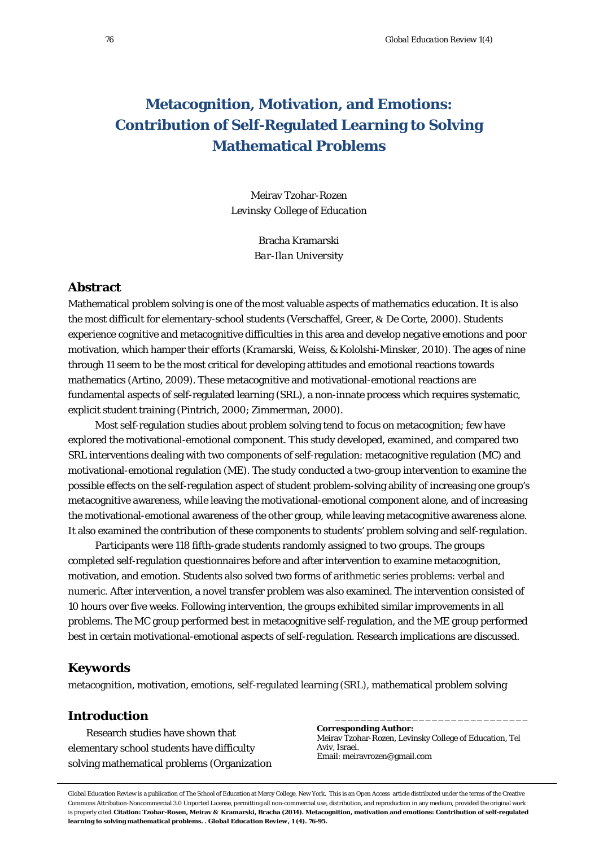# **Metacognition, Motivation, and Emotions: Contribution of Self-Regulated Learning to Solving Mathematical Problems**

Meirav Tzohar-Rozen *Levinsky College of Education*

> Bracha Kramarski *Bar-Ilan University*

### **Abstract**

Mathematical problem solving is one of the most valuable aspects of mathematics education. It is also the most difficult for elementary-school students (Verschaffel, Greer, & De Corte, 2000). Students experience cognitive and metacognitive difficulties in this area and develop negative emotions and poor motivation, which hamper their efforts (*Kramarski, Weiss, & Kololshi-Minsker, 2010*). The ages of nine through 11 seem to be the most critical for developing attitudes and emotional reactions towards mathematics (Artino, 2009). These metacognitive and motivational-emotional reactions are fundamental aspects of self-regulated learning (SRL), a non-innate process which requires systematic, explicit student training (Pintrich, 2000; Zimmerman, 2000).

Most self-regulation studies about problem solving tend to focus on metacognition; few have explored the motivational-emotional component. This study developed, examined, and compared two SRL interventions dealing with two components of self-regulation: metacognitive regulation (MC) and motivational-emotional regulation (ME). The study conducted a two-group intervention to examine the possible effects on the self-regulation aspect of student problem-solving ability of increasing one group's metacognitive awareness, while leaving the motivational-emotional component alone, and of increasing the motivational-emotional awareness of the other group, while leaving metacognitive awareness alone. It also examined the contribution of these components to students' problem solving and self-regulation.

Participants were 118 fifth-grade students randomly assigned to two groups. The groups completed self-regulation questionnaires before and after intervention to examine metacognition, motivation, and emotion. Students also solved two forms of arithmetic series problems: verbal and numeric. After intervention, a novel transfer problem was also examined. The intervention consisted of 10 hours over five weeks. Following intervention, the groups exhibited similar improvements in all problems. The MC group performed best in metacognitive self-regulation, and the ME group performed best in certain motivational-emotional aspects of self-regulation. Research implications are discussed.

## **Keywords**

*netacognition, motivation, emotions, self-regulated learning (SRL), mathematical problem solving* 

# **Introduction**

Research studies have shown that elementary school students have difficulty solving mathematical problems (Organization

**Corresponding Author:** Meirav Tzohar-Rozen, Levinsky College of Education, Tel Aviv, Israel. Email: meiravrozen@gmail.com

\_\_\_\_\_\_\_\_\_\_\_\_\_\_\_\_\_\_\_\_\_\_\_\_\_\_\_\_\_\_

*Global Education Review* is a publication of The School of Education at Mercy College, New York. This is an Open Access article distributed under the terms of the Creative Commons Attribution-Noncommercial 3.0 Unported License, permitting all non-commercial use, distribution, and reproduction in any medium, provided the original work is properly cited. **Citation: Tzohar-Rosen, Meirav & Kramarski, Bracha (2014). Metacognition, motivation and emotions: Contribution of self-regulated learning to solving mathematical problems. .** *Global Education Review, 1* **(4). 76-95.**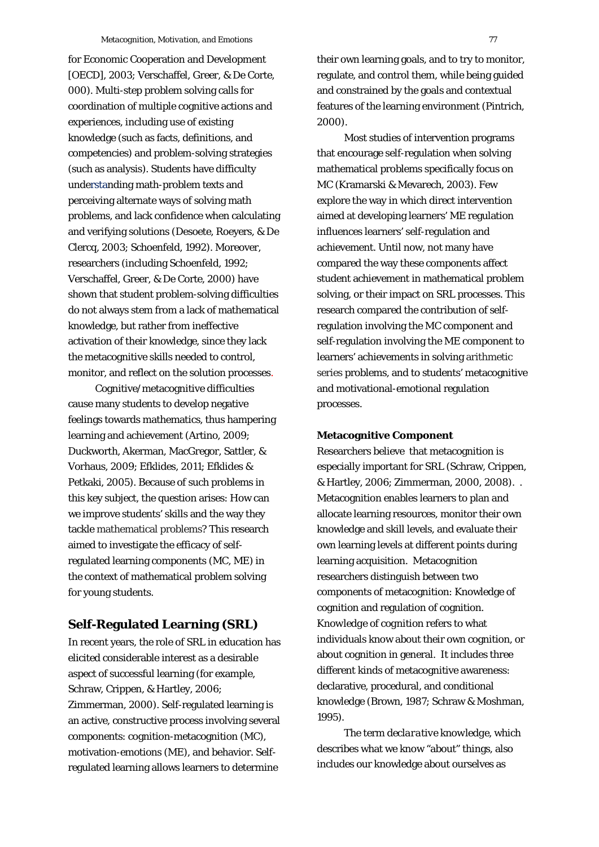for Economic Cooperation and Development [OECD], 2003; Verschaffel, Greer, & De Corte, 000). Multi-step problem solving calls for coordination of multiple cognitive actions and experiences, including use of existing knowledge (such as facts, definitions, and competencies) and problem-solving strategies (such as analysis). Students have difficulty understanding math-problem texts and perceiving alternate ways of solving math problems, and lack confidence when calculating and verifying solutions (Desoete, Roeyers, & De Clercq, 2003; Schoenfeld, 1992). Moreover, researchers (including Schoenfeld, 1992; Verschaffel, Greer, & De Corte, 2000) have shown that student problem-solving difficulties do not always stem from a lack of mathematical knowledge, but rather from ineffective activation of their knowledge, since they lack the metacognitive skills needed to control, monitor, and reflect on the solution processes.

Cognitive/metacognitive difficulties cause many students to develop negative feelings towards mathematics, thus hampering learning and achievement (Artino, 2009; Duckworth, Akerman, MacGregor, Sattler, & Vorhaus, 2009; Efklides, 2011; Efklides & Petkaki, 2005). Because of such problems in this key subject, the question arises: How can we improve students' skills and the way they tackle mathematical problems? This research aimed to investigate the efficacy of selfregulated learning components (MC, ME) in the context of mathematical problem solving for young students.

## **Self-Regulated Learning (SRL)**

In recent years, the role of SRL in education has elicited considerable interest as a desirable aspect of successful learning (for example, Schraw, Crippen, & Hartley, 2006; Zimmerman, 2000). Self-regulated learning is an active, constructive process involving several components: cognition-metacognition (MC), motivation-emotions (ME), and behavior. Selfregulated learning allows learners to determine

their own learning goals, and to try to monitor, regulate, and control them, while being guided and constrained by the goals and contextual features of the learning environment (Pintrich, 2000).

Most studies of intervention programs that encourage self-regulation when solving mathematical problems specifically focus on MC (Kramarski & Mevarech, 2003). Few explore the way in which direct intervention aimed at developing learners' ME regulation influences learners' self-regulation and achievement. Until now, not many have compared the way these components affect student achievement in mathematical problem solving, or their impact on SRL processes. This research compared the contribution of selfregulation involving the MC component and self-regulation involving the ME component to learners' achievements in solving arithmetic series problems, and to students' metacognitive and motivational-emotional regulation processes.

### **Metacognitive Component**

Researchers believe that metacognition is especially important for SRL (Schraw, Crippen, & Hartley, 2006; Zimmerman, 2000, 2008). . Metacognition enables learners to plan and allocate learning resources, monitor their own knowledge and skill levels, and evaluate their own learning levels at different points during learning acquisition. Metacognition researchers distinguish between two components of metacognition: Knowledge of cognition and regulation of cognition. *Knowledge of cognition* refers to what individuals know about their own cognition, or about cognition in general. It includes three different kinds of metacognitive awareness: declarative, procedural, and conditional knowledge (Brown, 1987; Schraw & Moshman, 1995).

The term *declarative knowledge*, which describes what we know "about" things, also includes our knowledge about ourselves as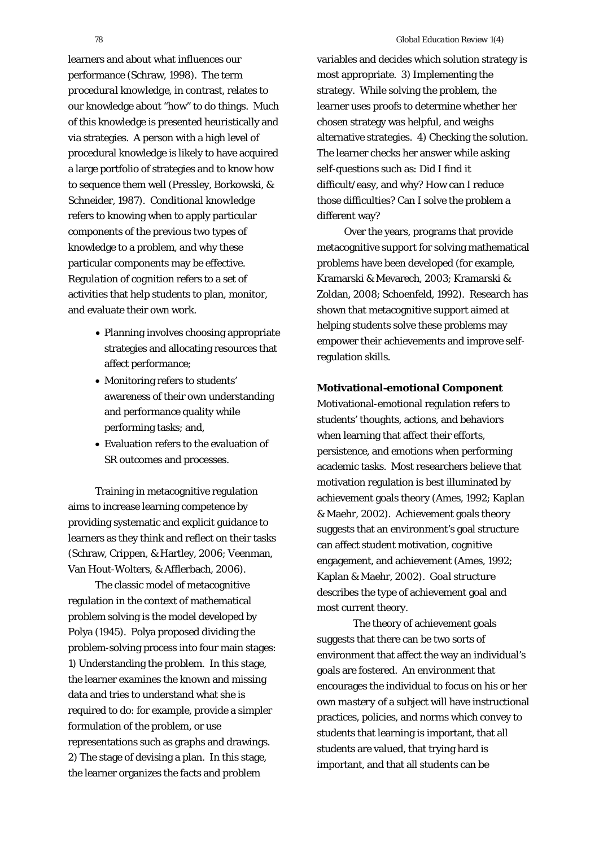learners and about what influences our performance (Schraw, 1998). The term *procedural knowledge*, in contrast, relates to our knowledge about "how" to do things. Much of this knowledge is presented heuristically and via strategies. A person with a high level of procedural knowledge is likely to have acquired a large portfolio of strategies and to know how to sequence them well (Pressley, Borkowski, & Schneider, 1987). *Conditional knowledge* refers to knowing when to apply particular components of the previous two types of knowledge to a problem, and why these particular components may be effective. *Regulation of cognition* refers to a set of activities that help students to plan, monitor, and evaluate their own work.

- Planning involves choosing appropriate strategies and allocating resources that affect performance;
- Monitoring refers to students' awareness of their own understanding and performance quality while performing tasks; and,
- Evaluation refers to the evaluation of SR outcomes and processes.

Training in metacognitive regulation aims to increase learning competence by providing systematic and explicit guidance to learners as they think and reflect on their tasks (Schraw, Crippen, & Hartley, 2006; Veenman, Van Hout-Wolters, & Afflerbach, 2006).

The classic model of metacognitive regulation in the context of mathematical problem solving is the model developed by Polya (1945). Polya proposed dividing the problem-solving process into four main stages: 1) Understanding the problem. In this stage, the learner examines the known and missing data and tries to understand what she is required to do: for example, provide a simpler formulation of the problem, or use representations such as graphs and drawings. 2) The stage of devising a plan. In this stage, the learner organizes the facts and problem

variables and decides which solution strategy is most appropriate. 3) Implementing the strategy. While solving the problem, the learner uses proofs to determine whether her chosen strategy was helpful, and weighs alternative strategies. 4) Checking the solution. The learner checks her answer while asking self-questions such as: Did I find it difficult/easy, and why? How can I reduce those difficulties? Can I solve the problem a different way?

Over the years, programs that provide metacognitive support for solving mathematical problems have been developed (for example, Kramarski & Mevarech, 2003; Kramarski & Zoldan, 2008; Schoenfeld, 1992). Research has shown that metacognitive support aimed at helping students solve these problems may empower their achievements and improve selfregulation skills.

#### **Motivational-emotional Component**

Motivational-emotional regulation refers to students' thoughts, actions, and behaviors when learning that affect their efforts, persistence, and emotions when performing academic tasks. Most researchers believe that motivation regulation is best illuminated by achievement goals theory (Ames, 1992; Kaplan & Maehr, 2002). Achievement goals theory suggests that an environment's goal structure can affect student motivation, cognitive engagement, and achievement (Ames, 1992; Kaplan & Maehr, 2002). *Goal structure* describes the type of achievement goal and most current theory.

The theory of achievement goals suggests that there can be two sorts of environment that affect the way an individual's goals are fostered. An environment that encourages the individual to focus on his or her own *mastery* of a subject will have instructional practices, policies, and norms which convey to students that learning is important, that all students are valued, that trying hard is important, and that all students can be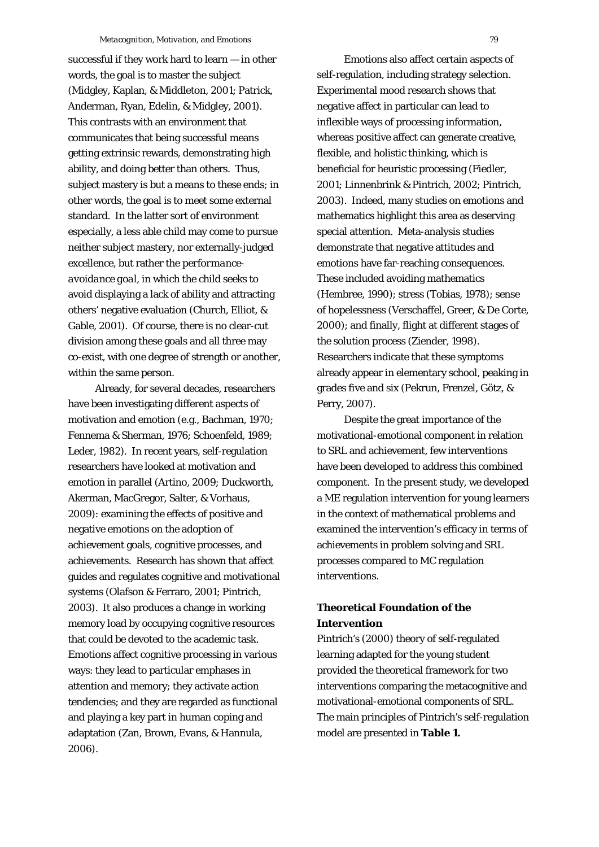successful if they work hard to learn — in other words, the goal is to master the subject (Midgley, Kaplan, & Middleton, 2001; Patrick, Anderman, Ryan, Edelin, & Midgley, 2001). This contrasts with an environment that communicates that being successful means getting extrinsic rewards, demonstrating high ability, and doing better than others. Thus, subject mastery is but a means to these ends; in other words, the goal is to meet some external standard. In the latter sort of environment especially, a less able child may come to pursue neither subject mastery, nor externally-judged excellence, but rather the *performanceavoidance goal,* in which the child seeks to avoid displaying a lack of ability and attracting others' negative evaluation (Church, Elliot, & Gable, 2001). Of course, there is no clear-cut division among these goals and all three may co-exist, with one degree of strength or another, within the same person.

Already, for several decades, researchers have been investigating different aspects of motivation and emotion (e.g., Bachman, 1970; Fennema & Sherman, 1976; Schoenfeld, 1989; Leder, 1982). In recent years, self-regulation researchers have looked at motivation and emotion in parallel (Artino, 2009; Duckworth, Akerman, MacGregor, Salter, & Vorhaus, 2009): examining the effects of positive and negative emotions on the adoption of achievement goals, cognitive processes, and achievements. Research has shown that affect guides and regulates cognitive and motivational systems (Olafson & Ferraro, 2001; Pintrich, 2003). It also produces a change in working memory load by occupying cognitive resources that could be devoted to the academic task. Emotions affect cognitive processing in various ways: they lead to particular emphases in attention and memory; they activate action tendencies; and they are regarded as functional and playing a key part in human coping and adaptation (Zan, Brown, Evans, & Hannula, 2006).

Emotions also affect certain aspects of self-regulation, including strategy selection. Experimental mood research shows that negative affect in particular can lead to inflexible ways of processing information, whereas positive affect can generate creative, flexible, and holistic thinking, which is beneficial for heuristic processing (Fiedler, 2001; Linnenbrink & Pintrich, 2002; Pintrich, 2003). Indeed, many studies on emotions and mathematics highlight this area as deserving special attention. Meta-analysis studies demonstrate that negative attitudes and emotions have far-reaching consequences. These included avoiding mathematics (Hembree, 1990); stress (Tobias, 1978); sense of hopelessness (Verschaffel, Greer, & De Corte, 2000); and finally, flight at different stages of the solution process (Ziender, 1998). Researchers indicate that these symptoms already appear in elementary school, peaking in grades five and six (Pekrun, Frenzel, Götz, & Perry, 2007).

Despite the great importance of the motivational-emotional component in relation to SRL and achievement, few interventions have been developed to address this combined component. In the present study, we developed a ME regulation intervention for young learners in the context of mathematical problems and examined the intervention's efficacy in terms of achievements in problem solving and SRL processes compared to MC regulation interventions.

# **Theoretical Foundation of the Intervention**

Pintrich's (2000) theory of self-regulated learning adapted for the young student provided the theoretical framework for two interventions comparing the metacognitive and motivational-emotional components of SRL. The main principles of Pintrich's self-regulation model are presented in **Table 1.**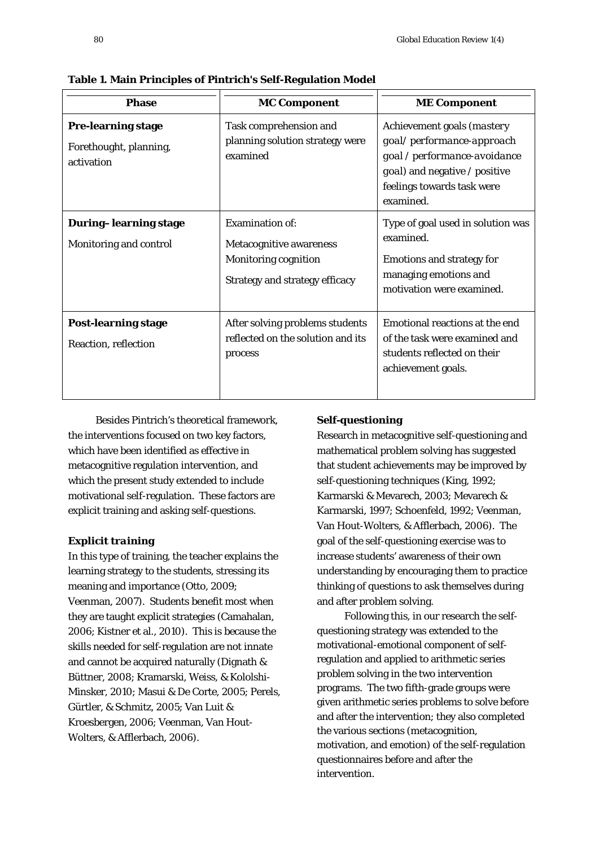| <b>Phase</b>                                                      | <b>MC Component</b>                                                                                                       | <b>ME Component</b>                                                                                                                                                 |  |  |
|-------------------------------------------------------------------|---------------------------------------------------------------------------------------------------------------------------|---------------------------------------------------------------------------------------------------------------------------------------------------------------------|--|--|
| <b>Pre-learning stage</b><br>Forethought, planning,<br>activation | Task comprehension and<br>planning solution strategy were<br>examined                                                     | Achievement goals (mastery<br>goal/performance-approach<br>goal / performance-avoidance<br>goal) and negative / positive<br>feelings towards task were<br>examined. |  |  |
| <b>During-learning stage</b><br>Monitoring and control            | <b>Examination of:</b><br>Metacognitive awareness<br><b>Monitoring cognition</b><br><b>Strategy and strategy efficacy</b> | Type of goal used in solution was<br>examined.<br><b>Emotions and strategy for</b><br>managing emotions and<br>motivation were examined.                            |  |  |
| <b>Post-learning stage</b><br><b>Reaction, reflection</b>         | After solving problems students<br>reflected on the solution and its<br>process                                           | Emotional reactions at the end<br>of the task were examined and<br>students reflected on their<br>achievement goals.                                                |  |  |

**Table 1. Main Principles of Pintrich's Self-Regulation Model** 

Besides Pintrich's theoretical framework, the interventions focused on two key factors, which have been identified as effective in metacognitive regulation intervention, and which the present study extended to include motivational self-regulation. These factors are explicit training and asking self-questions.

#### *Explicit training*

In this type of training, the teacher explains the learning strategy to the students, stressing its meaning and importance (Otto, 2009; Veenman, 2007). Students benefit most when they are taught explicit strategies (Camahalan, 2006; Kistner et al., 2010). This is because the skills needed for self-regulation are not innate and cannot be acquired naturally (Dignath & Büttner, 2008; Kramarski, Weiss, & Kololshi-Minsker, 2010; Masui & De Corte, 2005; Perels, Gürtler, & Schmitz, 2005; Van Luit & Kroesbergen, 2006; Veenman, Van Hout-Wolters, & Afflerbach, 2006).

### *Self-questioning*

Research in metacognitive self-questioning and mathematical problem solving has suggested that student achievements may be improved by self-questioning techniques (King, 1992; Karmarski & Mevarech, 2003; Mevarech & Karmarski, 1997; Schoenfeld, 1992; Veenman, Van Hout-Wolters, & Afflerbach, 2006). The goal of the self-questioning exercise was to increase students' awareness of their own understanding by encouraging them to practice thinking of questions to ask themselves during and after problem solving.

Following this, in our research the selfquestioning strategy was extended to the motivational-emotional component of selfregulation and applied to arithmetic series problem solving in the two intervention programs. The two fifth-grade groups were given arithmetic series problems to solve before and after the intervention; they also completed the various sections (metacognition, motivation, and emotion) of the self-regulation questionnaires before and after the intervention.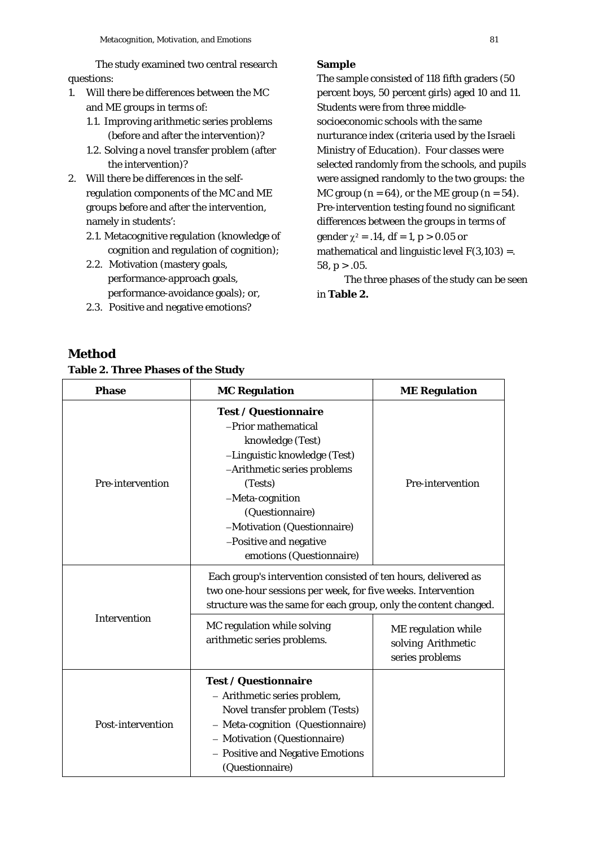The study examined two central research questions:

- 1. Will there be differences between the MC and ME groups in terms of:
	- 1.1. Improving arithmetic series problems (before and after the intervention)?
	- 1.2. Solving a novel transfer problem (after the intervention)?
- 2. Will there be differences in the selfregulation components of the MC and ME groups before and after the intervention, namely in students':
	- 2.1. Metacognitive regulation (knowledge of cognition and regulation of cognition);
	- 2.2. Motivation (mastery goals, performance-approach goals, performance-avoidance goals); or,
	- 2.3. Positive and negative emotions?

### **Sample**

The sample consisted of 118 fifth graders (50 percent boys, 50 percent girls) aged 10 and 11. Students were from three middlesocioeconomic schools with the same nurturance index (criteria used by the Israeli Ministry of Education). Four classes were selected randomly from the schools, and pupils were assigned randomly to the two groups: the MC group  $(n = 64)$ , or the ME group  $(n = 54)$ . Pre-intervention testing found no significant differences between the groups in terms of gender  $\gamma^2 = .14$ ,  $df = 1$ ,  $p > 0.05$  or mathematical and linguistic level  $F(3,103) =$ . 58,  $p > .05$ .

The three phases of the study can be seen in **Table 2.** 

# **Method**

# **Table 2. Three Phases of the Study**

| <b>Phase</b>      | <b>MC Regulation</b>                                                                                                                                                                                                                                                        | <b>ME Regulation</b> |  |
|-------------------|-----------------------------------------------------------------------------------------------------------------------------------------------------------------------------------------------------------------------------------------------------------------------------|----------------------|--|
| Pre-intervention  | <b>Test / Questionnaire</b><br>-Prior mathematical<br>knowledge (Test)<br>-Linguistic knowledge (Test)<br>-Arithmetic series problems<br>(Tests)<br>-Meta-cognition<br>(Questionnaire)<br>-Motivation (Questionnaire)<br>-Positive and negative<br>emotions (Questionnaire) | Pre-intervention     |  |
| Intervention      | Each group's intervention consisted of ten hours, delivered as<br>two one-hour sessions per week, for five weeks. Intervention<br>structure was the same for each group, only the content changed.<br>MC regulation while solving<br>arithmetic series problems.            |                      |  |
| Post-intervention | <b>Test / Questionnaire</b><br>- Arithmetic series problem,<br>Novel transfer problem (Tests)<br>- Meta-cognition (Questionnaire)<br>- Motivation (Questionnaire)<br>- Positive and Negative Emotions<br>(Questionnaire)                                                    | series problems      |  |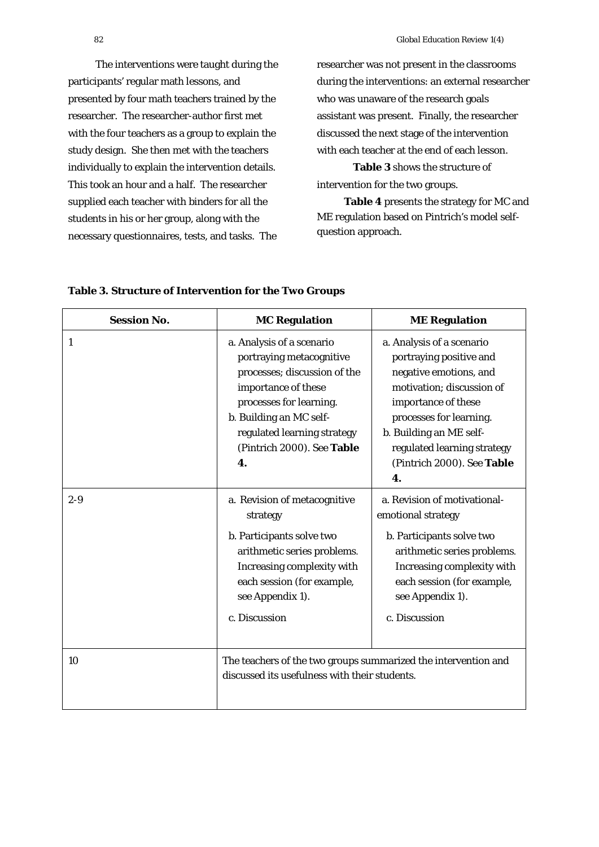The interventions were taught during the participants' regular math lessons, and presented by four math teachers trained by the researcher. The researcher-author first met with the four teachers as a group to explain the study design. She then met with the teachers individually to explain the intervention details. This took an hour and a half. The researcher supplied each teacher with binders for all the students in his or her group, along with the necessary questionnaires, tests, and tasks. The

researcher was not present in the classrooms during the interventions: an external researcher who was unaware of the research goals assistant was present. Finally, the researcher discussed the next stage of the intervention with each teacher at the end of each lesson.

**Table 3** shows the structure of intervention for the two groups.

**Table 4** presents the strategy for MC and ME regulation based on Pintrich's model selfquestion approach.

| <b>Session No.</b> | <b>MC Regulation</b>                                                                                                                                                                                                                  | <b>ME Regulation</b>                                                                                                                                                                                                                                        |  |  |
|--------------------|---------------------------------------------------------------------------------------------------------------------------------------------------------------------------------------------------------------------------------------|-------------------------------------------------------------------------------------------------------------------------------------------------------------------------------------------------------------------------------------------------------------|--|--|
| 1                  | a. Analysis of a scenario<br>portraying metacognitive<br>processes; discussion of the<br>importance of these<br>processes for learning.<br>b. Building an MC self-<br>regulated learning strategy<br>(Pintrich 2000). See Table<br>4. | a. Analysis of a scenario<br>portraying positive and<br>negative emotions, and<br>motivation; discussion of<br>importance of these<br>processes for learning.<br>b. Building an ME self-<br>regulated learning strategy<br>(Pintrich 2000). See Table<br>4. |  |  |
| $2 - 9$            | a. Revision of metacognitive<br>strategy<br>b. Participants solve two<br>arithmetic series problems.<br>Increasing complexity with<br>each session (for example,<br>see Appendix 1).<br>c. Discussion                                 | a. Revision of motivational-<br>emotional strategy<br>b. Participants solve two<br>arithmetic series problems.<br>Increasing complexity with<br>each session (for example,<br>see Appendix 1).<br>c. Discussion                                             |  |  |
| 10                 | The teachers of the two groups summarized the intervention and<br>discussed its usefulness with their students.                                                                                                                       |                                                                                                                                                                                                                                                             |  |  |

### **Table 3. Structure of Intervention for the Two Groups**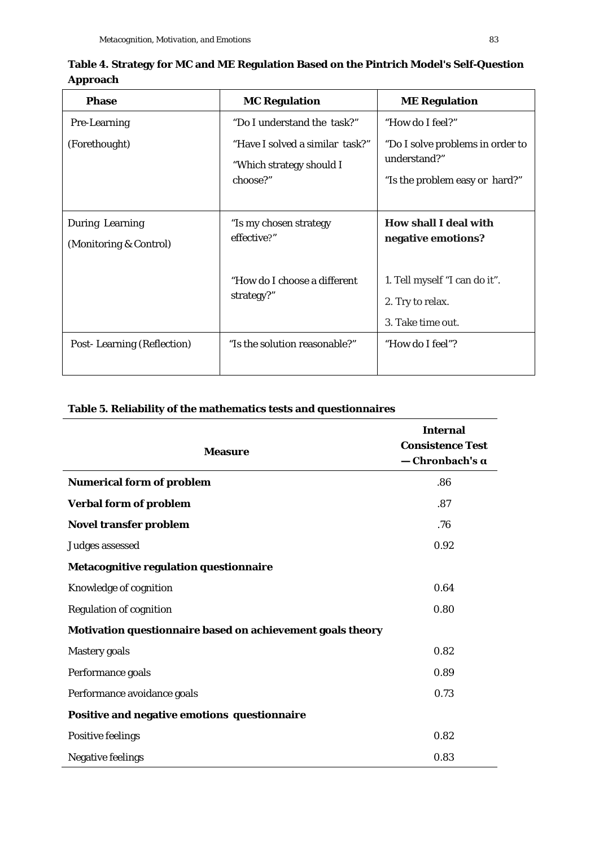| <b>Phase</b>                                     | <b>MC Regulation</b>                                                    | <b>ME Regulation</b>                                                               |
|--------------------------------------------------|-------------------------------------------------------------------------|------------------------------------------------------------------------------------|
| Pre-Learning                                     | "Do I understand the task?"                                             | "How do I feel?"                                                                   |
| (Forethought)                                    | "Have I solved a similar task?"<br>"Which strategy should I<br>choose?" | "Do I solve problems in order to<br>understand?"<br>"Is the problem easy or hard?" |
| <b>During Learning</b><br>(Monitoring & Control) | "Is my chosen strategy<br>effective?"                                   | <b>How shall I deal with</b><br>negative emotions?                                 |
|                                                  | "How do I choose a different<br>strategy?"                              | 1. Tell myself "I can do it".<br>2. Try to relax.<br>3. Take time out.             |
| <b>Post-Learning (Reflection)</b>                | "Is the solution reasonable?"                                           | "How do I feel"?                                                                   |

**Table 4. Strategy for MC and ME Regulation Based on the Pintrich Model's Self-Question Approach**

# **Table 5. Reliability of the mathematics tests and questionnaires**

| <b>Measure</b>                                             | <b>Internal</b><br><b>Consistence Test</b><br>— Chronbach's α |
|------------------------------------------------------------|---------------------------------------------------------------|
| <b>Numerical form of problem</b>                           | .86                                                           |
| <b>Verbal form of problem</b>                              | .87                                                           |
| <b>Novel transfer problem</b>                              | .76                                                           |
| Judges assessed                                            | 0.92                                                          |
| Metacognitive regulation questionnaire                     |                                                               |
| Knowledge of cognition                                     | 0.64                                                          |
| <b>Regulation of cognition</b>                             | 0.80                                                          |
| Motivation questionnaire based on achievement goals theory |                                                               |
| <b>Mastery</b> goals                                       | 0.82                                                          |
| Performance goals                                          | 0.89                                                          |
| Performance avoidance goals                                | 0.73                                                          |
| Positive and negative emotions questionnaire               |                                                               |
| <b>Positive feelings</b>                                   | 0.82                                                          |
| <b>Negative feelings</b>                                   | 0.83                                                          |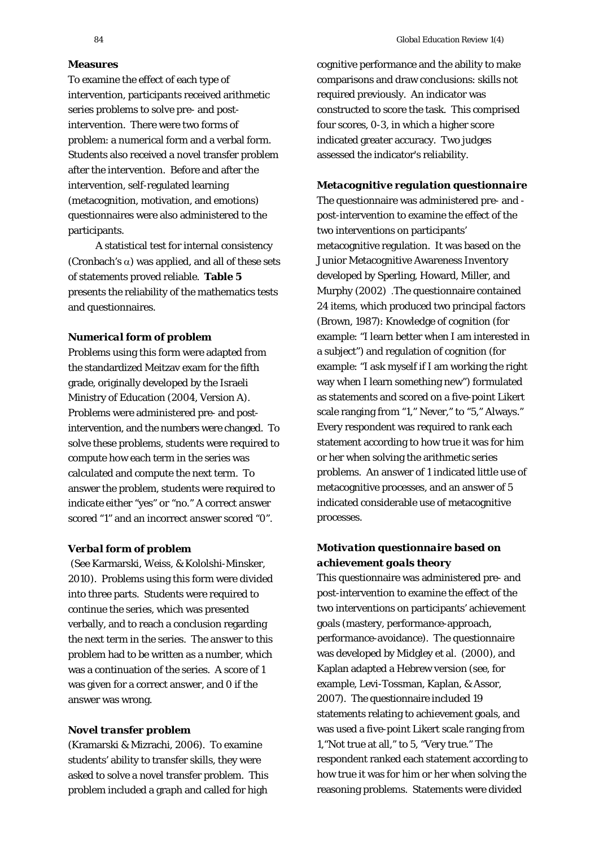## **Measures**

To examine the effect of each type of intervention, participants received arithmetic series problems to solve pre- and postintervention. There were two forms of problem: a numerical form and a verbal form. Students also received a novel transfer problem after the intervention. Before and after the intervention, self-regulated learning (metacognition, motivation, and emotions) questionnaires were also administered to the participants.

A statistical test for internal consistency (Cronbach's  $\alpha$ ) was applied, and all of these sets of statements proved reliable. **Table 5** presents the reliability of the mathematics tests and questionnaires.

#### *Numerical form of problem*

Problems using this form were adapted from the standardized Meitzav exam for the fifth grade, originally developed by the Israeli Ministry of Education (2004, Version A). Problems were administered pre- and postintervention, and the numbers were changed. To solve these problems, students were required to compute how each term in the series was calculated and compute the next term. To answer the problem, students were required to indicate either "yes" or "no." A correct answer scored "1" and an incorrect answer scored "0".

#### *Verbal form of problem*

(See Karmarski, Weiss, & Kololshi-Minsker, 2010). Problems using this form were divided into three parts. Students were required to continue the series, which was presented verbally, and to reach a conclusion regarding the next term in the series. The answer to this problem had to be written as a number, which was a continuation of the series. A score of 1 was given for a correct answer, and 0 if the answer was wrong.

#### *Novel transfer problem*

(Kramarski & Mizrachi, 2006). To examine students' ability to transfer skills, they were asked to solve a novel transfer problem. This problem included a graph and called for high

cognitive performance and the ability to make comparisons and draw conclusions: skills not required previously. An indicator was constructed to score the task. This comprised four scores, 0-3, in which a higher score indicated greater accuracy. Two judges assessed the indicator's reliability.

#### *Metacognitive regulation questionnaire*

The questionnaire was administered pre- and post-intervention to examine the effect of the two interventions on participants' metacognitive regulation. It was based on the Junior Metacognitive Awareness Inventory developed by Sperling, Howard, Miller, and Murphy (2002) .The questionnaire contained 24 items, which produced two principal factors (Brown, 1987): Knowledge of cognition (for example: "I learn better when I am interested in a subject") and regulation of cognition (for example: "I ask myself if I am working the right way when I learn something new") formulated as statements and scored on a five-point Likert scale ranging from "1," Never," to "5," Always." Every respondent was required to rank each statement according to how true it was for him or her when solving the arithmetic series problems. An answer of 1 indicated little use of metacognitive processes, and an answer of 5 indicated considerable use of metacognitive processes.

# *Motivation questionnaire based on achievement goals theory*

This questionnaire was administered pre- and post-intervention to examine the effect of the two interventions on participants' achievement goals (mastery, performance-approach, performance-avoidance). The questionnaire was developed by Midgley et al. (2000), and Kaplan adapted a Hebrew version (see, for example, Levi-Tossman, Kaplan, & Assor, 2007). The questionnaire included 19 statements relating to achievement goals, and was used a five-point Likert scale ranging from 1,"Not true at all," to 5, "Very true." The respondent ranked each statement according to how true it was for him or her when solving the reasoning problems. Statements were divided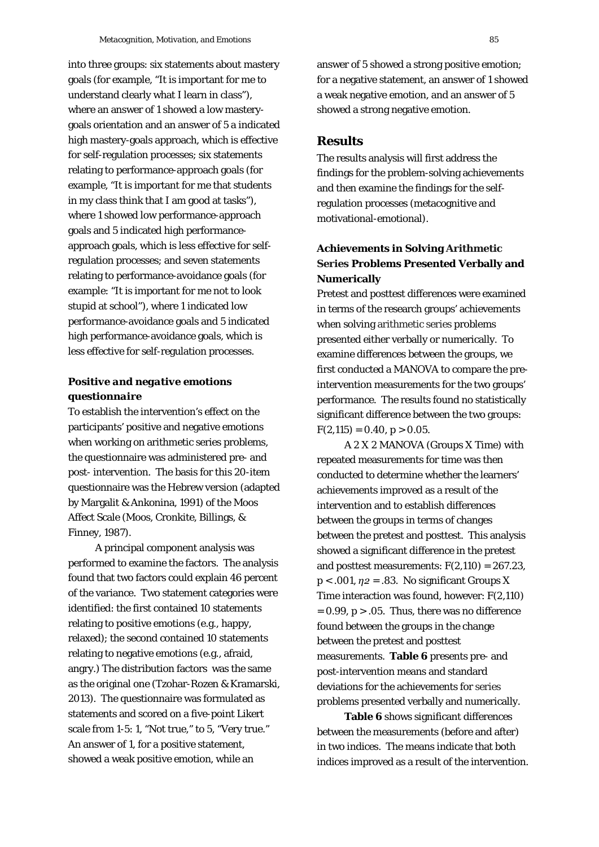into three groups: six statements about mastery goals (for example, "It is important for me to understand clearly what I learn in class"), where an answer of 1 showed a low masterygoals orientation and an answer of 5 a indicated high mastery-goals approach, which is effective for self-regulation processes; six statements relating to performance-approach goals (for example, "It is important for me that students in my class think that I am good at tasks"), where 1 showed low performance-approach goals and 5 indicated high performanceapproach goals, which is less effective for selfregulation processes; and seven statements relating to performance-avoidance goals (for example: "It is important for me not to look stupid at school"), where 1 indicated low performance-avoidance goals and 5 indicated high performance-avoidance goals, which is less effective for self-regulation processes.

# *Positive and negative emotions questionnaire*

To establish the intervention's effect on the participants' positive and negative emotions when working on arithmetic series problems, the questionnaire was administered pre- and post- intervention. The basis for this 20-item questionnaire was the Hebrew version (adapted by Margalit & Ankonina, 1991) of the Moos Affect Scale (Moos, Cronkite, Billings, & Finney, 1987).

A principal component analysis was performed to examine the factors. The analysis found that two factors could explain 46 percent of the variance. Two statement categories were identified: the first contained 10 statements relating to positive emotions (e.g., happy, relaxed); the second contained 10 statements relating to negative emotions (e.g., afraid, angry.) The distribution factors was the same as the original one (Tzohar-Rozen & Kramarski, 2013). The questionnaire was formulated as statements and scored on a five-point Likert scale from 1-5: 1, "Not true," to 5, "Very true." An answer of 1, for a positive statement, showed a weak positive emotion, while an

answer of 5 showed a strong positive emotion; for a negative statement, an answer of 1 showed a weak negative emotion, and an answer of 5 showed a strong negative emotion.

### **Results**

The results analysis will first address the findings for the problem-solving achievements and then examine the findings for the selfregulation processes (metacognitive and motivational-emotional).

# **Achievements in Solving Arithmetic Series Problems Presented Verbally and Numerically**

Pretest and posttest differences were examined in terms of the research groups' achievements when solving arithmetic series problems presented either verbally or numerically. To examine differences between the groups, we first conducted a MANOVA to compare the preintervention measurements for the two groups' performance. The results found no statistically significant difference between the two groups:  $F(2,115) = 0.40, p > 0.05.$ 

A 2 X 2 MANOVA (Groups X Time) with repeated measurements for time was then conducted to determine whether the learners' achievements improved as a result of the intervention and to establish differences between the groups in terms of changes between the pretest and posttest. This analysis showed a significant difference in the pretest and posttest measurements:  $F(2,110) = 267.23$ , *p* < .001, *η2* = .83. No significant Groups X Time interaction was found, however: *F*(2,110)  $= 0.99$ ,  $p > 0.05$ . Thus, there was no difference found between the groups in the change between the pretest and posttest measurements. **Table 6** presents pre- and post-intervention means and standard deviations for the achievements for series problems presented verbally and numerically.

**Table 6** shows significant differences between the measurements (before and after) in two indices. The means indicate that both indices improved as a result of the intervention.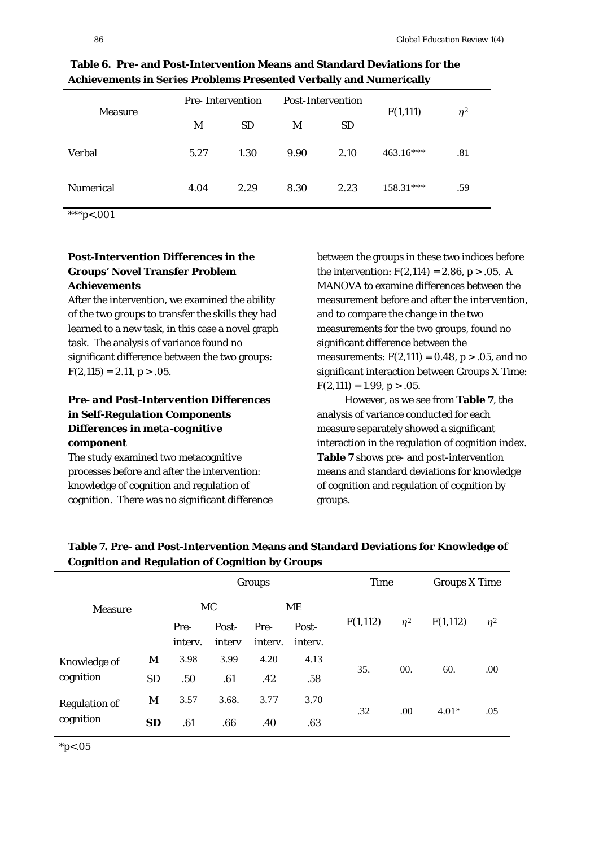| <b>Measure</b>   | <b>Pre-Intervention</b> |           | Post-Intervention |           | F(1,111)  | $\eta^2$ |
|------------------|-------------------------|-----------|-------------------|-----------|-----------|----------|
|                  | M                       | <i>SD</i> | M                 | <b>SD</b> |           |          |
| <b>Verbal</b>    | 5.27                    | 1.30      | 9.90              | 2.10      | 463.16*** | .81      |
| <b>Numerical</b> | 4.04                    | 2.29      | 8.30              | 2.23      | 158.31*** | .59      |

**Table 6. Pre- and Post-Intervention Means and Standard Deviations for the Achievements in Series Problems Presented Verbally and Numerically** 

\*\*\**p*<.001

### **Post-Intervention Differences in the Groups' Novel Transfer Problem Achievements**

After the intervention, we examined the ability of the two groups to transfer the skills they had learned to a new task, in this case a novel graph task. The analysis of variance found no significant difference between the two groups:  $F(2.115) = 2.11, p > .05.$ 

# *Pre- and Post-Intervention Differences in Self-Regulation Components Differences in meta-cognitive component*

The study examined two metacognitive processes before and after the intervention: knowledge of cognition and regulation of cognition. There was no significant difference

between the groups in these two indices before the intervention:  $F(2,114) = 2.86$ ,  $p > .05$ . A MANOVA to examine differences between the measurement before and after the intervention, and to compare the change in the two measurements for the two groups, found no significant difference between the measurements:  $F(2,111) = 0.48$ ,  $p > .05$ , and no significant interaction between Groups X Time:  $F(2,111) = 1.99, p > .05.$ 

However, as we see from **Table 7**, the analysis of variance conducted for each measure separately showed a significant interaction in the regulation of cognition index. **Table 7** shows pre- and post-intervention means and standard deviations for knowledge of cognition and regulation of cognition by groups.

|                      |           |         |        | Groups  |         | <b>Time</b> |          | <b>Groups X Time</b> |          |
|----------------------|-----------|---------|--------|---------|---------|-------------|----------|----------------------|----------|
| <b>Measure</b>       |           | MC      |        | ME      |         |             |          |                      |          |
|                      |           | Pre-    | Post-  | Pre-    | Post-   | F(1,112)    | $\eta^2$ | F(1,112)             | $\eta^2$ |
|                      |           | interv. | intery | interv. | interv. |             |          |                      |          |
| Knowledge of         | M         | 3.98    | 3.99   | 4.20    | 4.13    |             |          |                      |          |
| cognition            | <b>SD</b> | .50     | .61    | .42     | .58     | 35.         | 00.      | 60.                  | .00      |
| <b>Regulation of</b> | M         | 3.57    | 3.68.  | 3.77    | 3.70    |             |          |                      |          |
| cognition            | <b>SD</b> | .61     | .66    | .40     | .63     | .32         | .00      | $4.01*$              | .05      |

**Table 7. Pre- and Post-Intervention Means and Standard Deviations for Knowledge of Cognition and Regulation of Cognition by Groups** 

\**p*<.05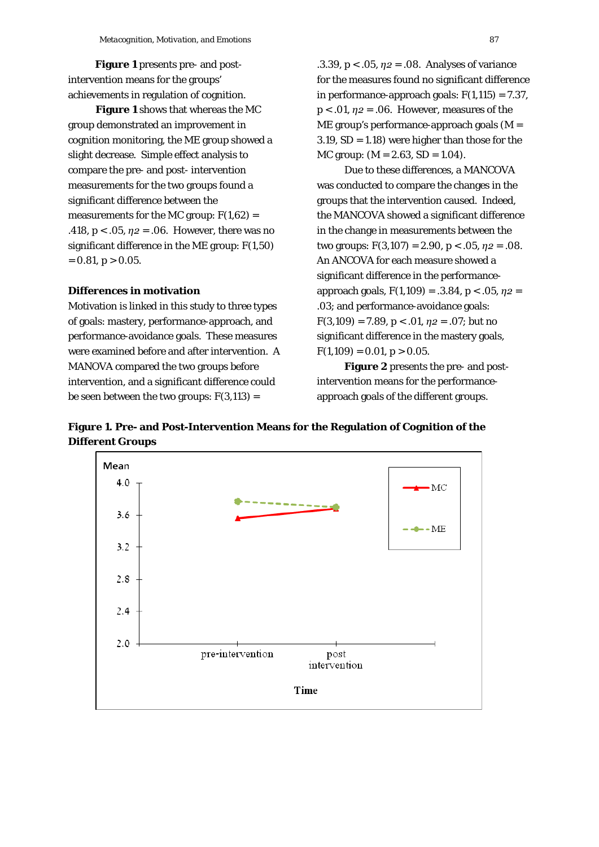**Figure 1** presents pre- and postintervention means for the groups' achievements in regulation of cognition.

**Figure 1** shows that whereas the MC group demonstrated an improvement in cognition monitoring, the ME group showed a slight decrease. Simple effect analysis to compare the pre- and post- intervention measurements for the two groups found a significant difference between the measurements for the MC group: *F*(1,62) = .418,  $p < .05$ ,  $\eta_2 = .06$ . However, there was no significant difference in the ME group: *F*(1,50)  $= 0.81, p > 0.05.$ 

### **Differences in motivation**

Motivation is linked in this study to three types of goals: mastery, performance-approach, and performance-avoidance goals. These measures were examined before and after intervention. A MANOVA compared the two groups before intervention, and a significant difference could be seen between the two groups:  $F(3,113) =$ 

.3.39, *p* < .05, *η2* = .08. Analyses of variance for the measures found no significant difference in performance-approach goals:  $F(1,115) = 7.37$ , *p* < .01, *η2* = .06. However, measures of the ME group's performance-approach goals (*M* = 3.19,  $SD = 1.18$ ) were higher than those for the MC group: (*M* = 2.63, *SD* = 1.04).

Due to these differences, a MANCOVA was conducted to compare the changes in the groups that the intervention caused. Indeed, the MANCOVA showed a significant difference in the change in measurements between the two groups:  $F(3,107) = 2.90, p < .05, \eta_2 = .08$ . An ANCOVA for each measure showed a significant difference in the performanceapproach goals, *F*(1,109) = .3.84, p < .05, *η2* = .03; and performance-avoidance goals: *F*(3,109) = 7.89, *p* < .01, *η2* = .07; but no significant difference in the mastery goals,  $F(1,109) = 0.01, p > 0.05.$ 

**Figure 2** presents the pre- and postintervention means for the performanceapproach goals of the different groups.

**Figure 1. Pre- and Post-Intervention Means for the Regulation of Cognition of the Different Groups**

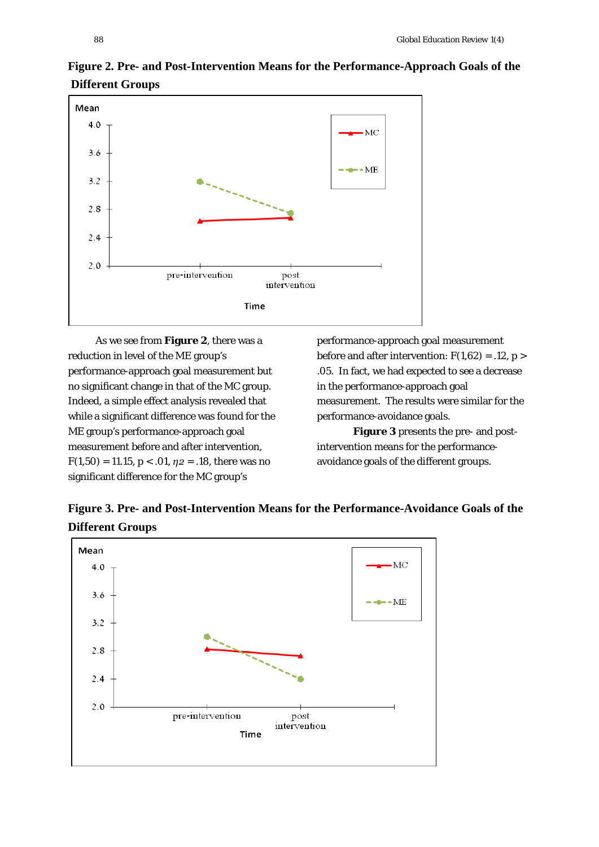

# **Figure 2. Pre- and Post-Intervention Means for the Performance-Approach Goals of the Different Groups**

As we see from **Figure 2**, there was a reduction in level of the ME group's performance-approach goal measurement but no significant change in that of the MC group. Indeed, a simple effect analysis revealed that while a significant difference was found for the ME group's performance-approach goal measurement before and after intervention,  $F(1,50) = 11.15, p < .01, \eta_2 = .18$ , there was no significant difference for the MC group's

performance-approach goal measurement before and after intervention:  $F(1,62) = .12, p >$ .05. In fact, we had expected to see a decrease in the performance-approach goal measurement. The results were similar for the performance-avoidance goals.

**Figure 3** presents the pre- and postintervention means for the performanceavoidance goals of the different groups.

**Figure 3. Pre- and Post-Intervention Means for the Performance-Avoidance Goals of the Different Groups**

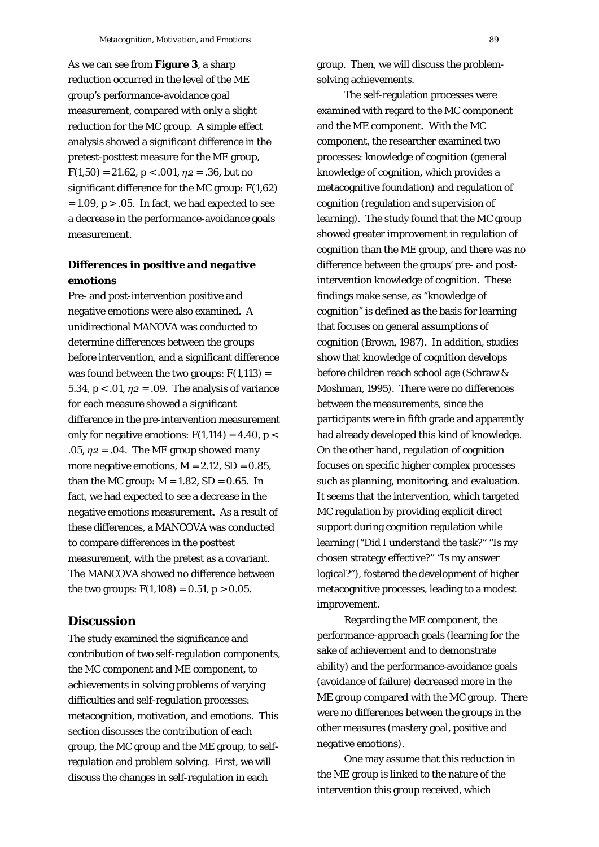As we can see from **Figure 3**, a sharp reduction occurred in the level of the ME group's performance-avoidance goal measurement, compared with only a slight reduction for the MC group. A simple effect analysis showed a significant difference in the pretest-posttest measure for the ME group,  $F(1,50) = 21.62$ ,  $p < .001$ ,  $\eta_2 = .36$ , but no significant difference for the MC group: *F*(1,62)  $= 1.09$ ,  $p > .05$ . In fact, we had expected to see a decrease in the performance-avoidance goals measurement.

# *Differences in positive and negative emotions*

Pre- and post-intervention positive and negative emotions were also examined. A unidirectional MANOVA was conducted to determine differences between the groups before intervention, and a significant difference was found between the two groups:  $F(1,113) =$ 5.34,  $p < .01$ ,  $\eta_2 = .09$ . The analysis of variance for each measure showed a significant difference in the pre-intervention measurement only for negative emotions:  $F(1,114) = 4.40$ ,  $p <$ .05,  $\eta$ 2 = .04. The ME group showed many more negative emotions,  $M = 2.12$ ,  $SD = 0.85$ , than the MC group:  $M = 1.82$ ,  $SD = 0.65$ . In fact, we had expected to see a decrease in the negative emotions measurement. As a result of these differences, a MANCOVA was conducted to compare differences in the posttest measurement, with the pretest as a covariant. The MANCOVA showed no difference between the two groups:  $F(1,108) = 0.51, p > 0.05$ .

# **Discussion**

The study examined the significance and contribution of two self-regulation components, the MC component and ME component, to achievements in solving problems of varying difficulties and self-regulation processes: metacognition, motivation, and emotions. This section discusses the contribution of each group, the MC group and the ME group, to selfregulation and problem solving. First, we will discuss the changes in self-regulation in each

group. Then, we will discuss the problemsolving achievements.

The self-regulation processes were examined with regard to the MC component and the ME component. With the MC component, the researcher examined two processes: knowledge of cognition (general knowledge of cognition, which provides a metacognitive foundation) and regulation of cognition (regulation and supervision of learning). The study found that the MC group showed greater improvement in regulation of cognition than the ME group, and there was no difference between the groups' pre- and postintervention knowledge of cognition. These findings make sense, as "knowledge of cognition" is defined as the basis for learning that focuses on general assumptions of cognition (Brown, 1987). In addition, studies show that knowledge of cognition develops before children reach school age (Schraw & Moshman, 1995). There were no differences between the measurements, since the participants were in fifth grade and apparently had already developed this kind of knowledge. On the other hand, regulation of cognition focuses on specific higher complex processes such as planning, monitoring, and evaluation. It seems that the intervention, which targeted MC regulation by providing explicit direct support during cognition regulation while learning ("Did I understand the task?" "Is my chosen strategy effective?" "Is my answer logical?"), fostered the development of higher metacognitive processes, leading to a modest improvement.

Regarding the ME component, the performance-approach goals (learning for the sake of achievement and to demonstrate ability) and the performance-avoidance goals (avoidance of failure) decreased more in the ME group compared with the MC group. There were no differences between the groups in the other measures (mastery goal, positive and negative emotions).

One may assume that this reduction in the ME group is linked to the nature of the intervention this group received, which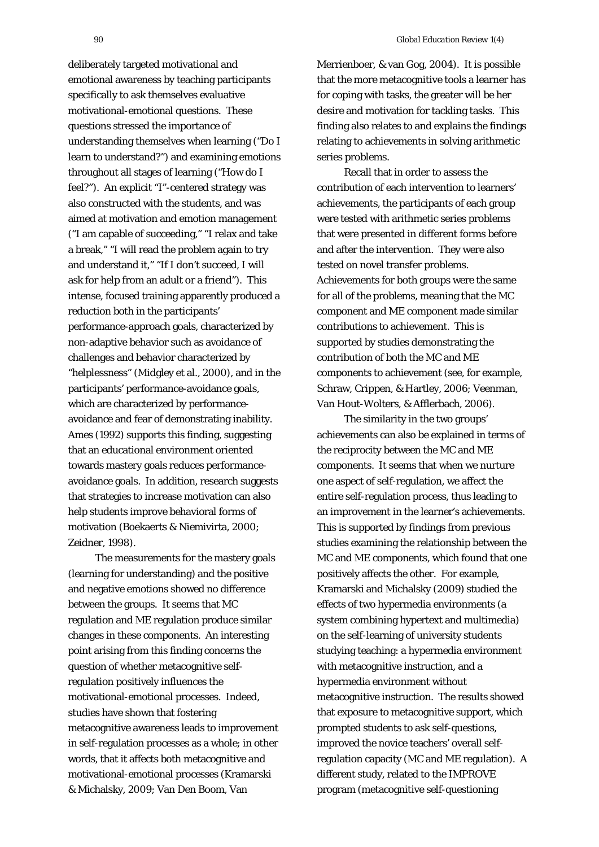deliberately targeted motivational and emotional awareness by teaching participants specifically to ask themselves evaluative motivational-emotional questions. These questions stressed the importance of understanding themselves when learning ("Do I learn to understand?") and examining emotions throughout all stages of learning ("How do I feel?"). An explicit "I"-centered strategy was also constructed with the students, and was aimed at motivation and emotion management ("I am capable of succeeding," "I relax and take a break," "I will read the problem again to try and understand it," "If I don't succeed, I will ask for help from an adult or a friend"). This intense, focused training apparently produced a reduction both in the participants' performance-approach goals, characterized by non-adaptive behavior such as avoidance of challenges and behavior characterized by "helplessness" (Midgley et al., 2000), and in the participants' performance-avoidance goals, which are characterized by performanceavoidance and fear of demonstrating inability. Ames (1992) supports this finding, suggesting that an educational environment oriented towards mastery goals reduces performanceavoidance goals. In addition, research suggests that strategies to increase motivation can also help students improve behavioral forms of motivation (Boekaerts & Niemivirta, 2000; Zeidner, 1998).

The measurements for the mastery goals (learning for understanding) and the positive and negative emotions showed no difference between the groups. It seems that MC regulation and ME regulation produce similar changes in these components. An interesting point arising from this finding concerns the question of whether metacognitive selfregulation positively influences the motivational-emotional processes. Indeed, studies have shown that fostering metacognitive awareness leads to improvement in self-regulation processes as a whole; in other words, that it affects both metacognitive and motivational-emotional processes (Kramarski & Michalsky, 2009; Van Den Boom, Van

Merrienboer, & van Gog, 2004). It is possible that the more metacognitive tools a learner has for coping with tasks, the greater will be her desire and motivation for tackling tasks. This finding also relates to and explains the findings relating to achievements in solving arithmetic series problems.

Recall that in order to assess the contribution of each intervention to learners' achievements, the participants of each group were tested with arithmetic series problems that were presented in different forms before and after the intervention. They were also tested on novel transfer problems. Achievements for both groups were the same for all of the problems, meaning that the MC component and ME component made similar contributions to achievement. This is supported by studies demonstrating the contribution of both the MC and ME components to achievement (see, for example, Schraw, Crippen, & Hartley, 2006; Veenman, Van Hout-Wolters, & Afflerbach, 2006).

The similarity in the two groups' achievements can also be explained in terms of the reciprocity between the MC and ME components. It seems that when we nurture one aspect of self-regulation, we affect the entire self-regulation process, thus leading to an improvement in the learner's achievements. This is supported by findings from previous studies examining the relationship between the MC and ME components, which found that one positively affects the other. For example, Kramarski and Michalsky (2009) studied the effects of two hypermedia environments (a system combining hypertext and multimedia) on the self-learning of university students studying teaching: a hypermedia environment with metacognitive instruction, and a hypermedia environment without metacognitive instruction. The results showed that exposure to metacognitive support, which prompted students to ask self-questions, improved the novice teachers' overall selfregulation capacity (MC and ME regulation). A different study, related to the IMPROVE program (metacognitive self-questioning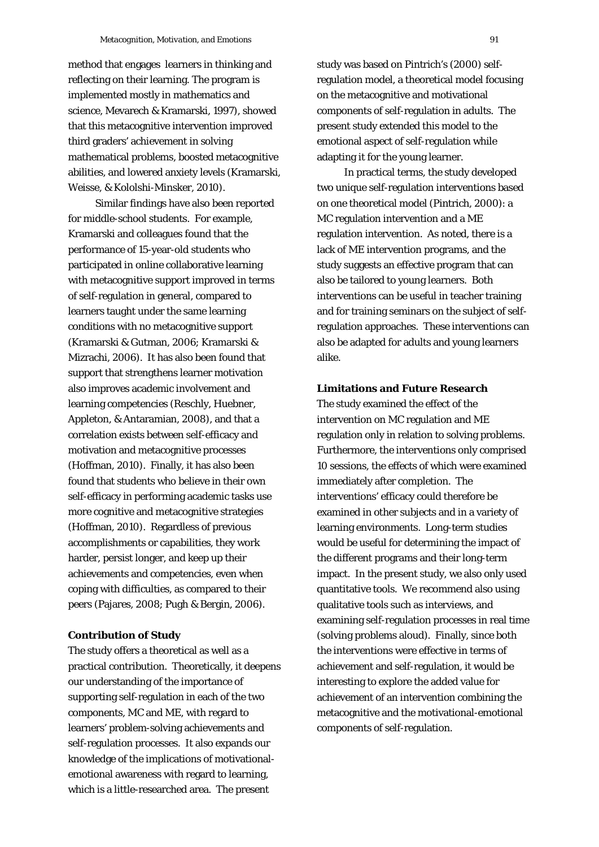method that engages learners in thinking and reflecting on their learning. The program is implemented mostly in mathematics and science, Mevarech & Kramarski, 1997), showed that this metacognitive intervention improved third graders' achievement in solving mathematical problems, boosted metacognitive abilities, and lowered anxiety levels (Kramarski, Weisse, & Kololshi-Minsker, 2010).

Similar findings have also been reported for middle-school students. For example, Kramarski and colleagues found that the performance of 15-year-old students who participated in online collaborative learning with metacognitive support improved in terms of self-regulation in general, compared to learners taught under the same learning conditions with no metacognitive support (Kramarski & Gutman, 2006; Kramarski & Mizrachi, 2006). It has also been found that support that strengthens learner motivation also improves academic involvement and learning competencies (Reschly, Huebner, Appleton, & Antaramian, 2008), and that a correlation exists between self-efficacy and motivation and metacognitive processes (Hoffman, 2010). Finally, it has also been found that students who believe in their own self-efficacy in performing academic tasks use more cognitive and metacognitive strategies (Hoffman, 2010). Regardless of previous accomplishments or capabilities, they work harder, persist longer, and keep up their achievements and competencies, even when coping with difficulties, as compared to their peers (Pajares, 2008; Pugh & Bergin, 2006).

#### **Contribution of Study**

The study offers a theoretical as well as a practical contribution. Theoretically, it deepens our understanding of the importance of supporting self-regulation in each of the two components, MC and ME, with regard to learners' problem-solving achievements and self-regulation processes. It also expands our knowledge of the implications of motivationalemotional awareness with regard to learning, which is a little-researched area. The present

study was based on Pintrich's (2000) selfregulation model, a theoretical model focusing on the metacognitive and motivational components of self-regulation in adults. The present study extended this model to the emotional aspect of self-regulation while adapting it for the young learner.

In practical terms, the study developed two unique self-regulation interventions based on one theoretical model (Pintrich, 2000): a MC regulation intervention and a ME regulation intervention. As noted, there is a lack of ME intervention programs, and the study suggests an effective program that can also be tailored to young learners. Both interventions can be useful in teacher training and for training seminars on the subject of selfregulation approaches. These interventions can also be adapted for adults and young learners alike.

#### **Limitations and Future Research**

The study examined the effect of the intervention on MC regulation and ME regulation only in relation to solving problems. Furthermore, the interventions only comprised 10 sessions, the effects of which were examined immediately after completion. The interventions' efficacy could therefore be examined in other subjects and in a variety of learning environments. Long-term studies would be useful for determining the impact of the different programs and their long-term impact. In the present study, we also only used quantitative tools. We recommend also using qualitative tools such as interviews, and examining self-regulation processes in real time (solving problems aloud). Finally, since both the interventions were effective in terms of achievement and self-regulation, it would be interesting to explore the added value for achievement of an intervention combining the metacognitive and the motivational-emotional components of self-regulation.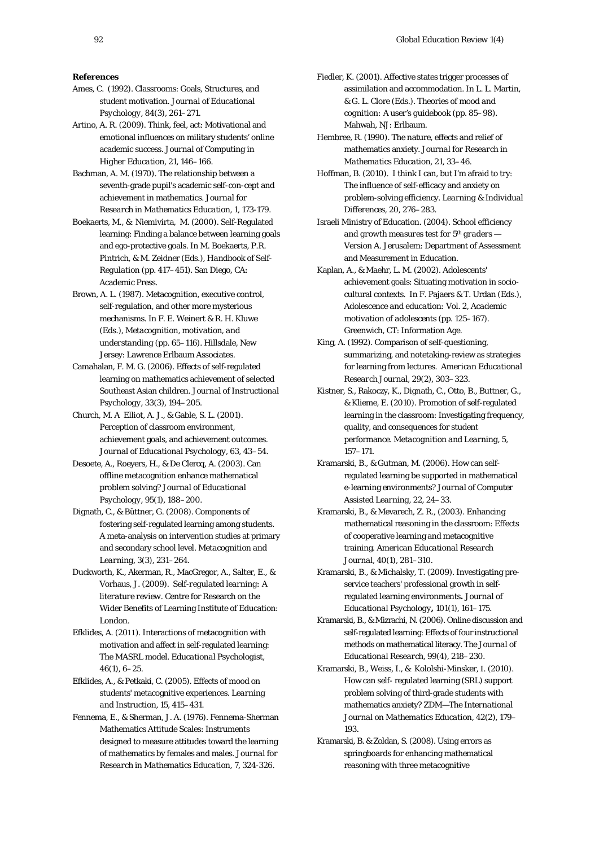#### **References**

- Ames, C. (1992). Classrooms: Goals, Structures, and student motivation. *Journal of Educational Psychology, 84*(3), 261–271.
- Artino, A. R. (2009). Think, feel, act: Motivational and emotional influences on military students' online academic success. *Journal of Computing in Higher Education, 21,* 146–166.
- Bachman, A. M. (1970). The relationship between a seventh-grade pupil's academic self-con-cept and achievement in mathematics. *Journal for Research in Mathematics Education*, *1*, 173-179.
- Boekaerts, M., & Niemivirta, M. (2000). Self-Regulated learning: Finding a balance between learning goals and ego-protective goals. In M. Boekaerts, P.R. Pintrich, & M. Zeidner (Eds.), *Handbook of Self-Regulation* (pp. 417–451). San Diego, CA: Academic Press.
- Brown, A. L. (1987). Metacognition, executive control, self-regulation, and other more mysterious mechanisms. In F. E. Weinert & R. H. Kluwe (Eds.), *Metacognition, motivation, and understanding* (pp. 65–116). Hillsdale, New Jersey: Lawrence Erlbaum Associates.
- Camahalan, F. M. G. (2006). Effects of self-regulated learning on mathematics achievement of selected Southeast Asian children*. Journal of Instructional Psychology, 33*(3), 194–205.
- Church, M. A Elliot, A. J., & Gable, S. L. (2001). Perception of classroom environment, achievement goals, and achievement outcomes. *Journal of Educational Psychology, 63,* 43–54.
- Desoete, A., Roeyers, H., & De Clercq, A. (2003). Can offline metacognition enhance mathematical problem solving*? Journal of Educational Psychology*, *95*(1), 188–200.
- Dignath, C., & Büttner, G. (2008). Components of fostering self-regulated learning among students. A meta-analysis on intervention studies at primary and secondary school level. *Metacognition and Learning, 3*(3), 231–264.
- Duckworth, K., Akerman, R., MacGregor, A., Salter, E., & Vorhaus, J. (2009). *Self-regulated learning: A literature review*. Centre for Research on the Wider Benefits of Learning Institute of Education: London.
- Efklides, A. (2011). Interactions of metacognition with motivation and affect in self-regulated learning: The MASRL model. *Educational Psychologist*, *46*(1), 6–25.
- Efklides, A., & Petkaki, C. (2005). Effects of mood on students' metacognitive experiences. *Learning and Instruction, 15*, 415–431.
- Fennema, E., & Sherman, J. A. (1976). Fennema-Sherman Mathematics Attitude Scales: Instruments designed to measure attitudes toward the learning of mathematics by females and males. *Journal for Research in Mathematics Education*, *7*, 324-326.
- Fiedler, K. (2001). Affective states trigger processes of assimilation and accommodation. In L. L. Martin, & G. L. Clore (Eds.). *Theories of mood and cognition: A user's guidebook* (pp. 85–98). Mahwah, NJ: Erlbaum.
- Hembree, R. (1990). The nature, effects and relief of mathematics anxiety. *Journal for Research in Mathematics Education, 21,* 33–46.
- Hoffman, B. (2010). I think I can, but I'm afraid to try: The influence of self-efficacy and anxiety on problem-solving efficiency. *Learning & Individual Differences, 20*, 276–283.
- Israeli Ministry of Education. (2004). *School efficiency and growth measures test for 5<sup>th</sup> graders* — *Version A*. Jerusalem: Department of Assessment and Measurement in Education.
- Kaplan, A., & Maehr, L. M. (2002). Adolescents' achievement goals: Situating motivation in sociocultural contexts. In F. Pajaers & T. Urdan (Eds.), *Adolescence and education: Vol. 2, Academic motivation of adolescents* (pp. 125–167). Greenwich, CT: Information Age.
- King, A. (1992). Comparison of self-questioning, summarizing, and notetaking-review as strategies for learning from lectures. *American Educational Research Journal*, *29*(2)*,* 303–323.
- Kistner, S., Rakoczy, K., Dignath, C., Otto, B., Buttner, G., & Klieme, E. (2010). Promotion of self-regulated learning in the classroom: Investigating frequency, quality, and consequences for student performance. *Metacognition and Learning, 5,*  157–171.
- Kramarski, B., & Gutman, M. (2006). How can selfregulated learning be supported in mathematical e-learning environments? *Journal of Computer Assisted Learning, 22,* 24–33.
- Kramarski, B., & Mevarech, Z. R., (2003). Enhancing mathematical reasoning in the classroom: Effects of cooperative learning and metacognitive training. *American Educational Research Journal, 40*(1)*,* 281–310.
- Kramarski, B., & Michalsky, T. (2009). Investigating preservice teachers' professional growth in selfregulated learning environments**.** *Journal of Educational Psychology***,** *101*(1), 161–175.
- Kramarski, B., & Mizrachi, N. (2006). Online discussion and self-regulated learning: Effects of four instructional methods on mathematical literacy. *The Journal of Educational Research, 99*(4)*,* 218–230.
- Kramarski, B., Weiss, I., & Kololshi-Minsker, Ι. (2010). How can self- regulated learning (SRL) support problem solving of third-grade students with mathematics anxiety? *ZDM—The International Journal on Mathematics Education, 42*(2)*,* 179– 193*.*
- Kramarski, B. & Zoldan, S. (2008). Using errors as springboards for enhancing mathematical reasoning with three metacognitive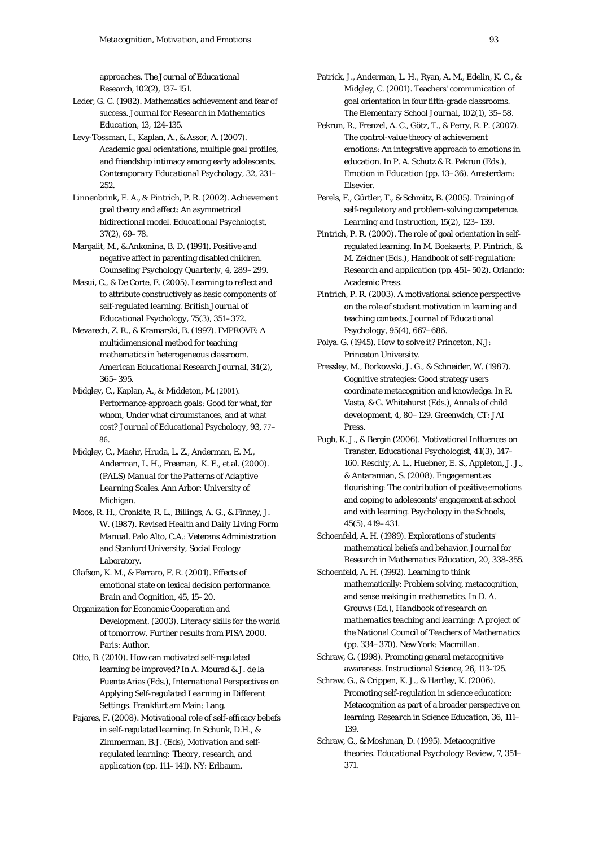approaches. *The Journal of Educational Research*, *102*(2), 137–151.

Leder, G. C. (1982). Mathematics achievement and fear of success. *Journal for Research in Mathematics Education*, *13*, 124-135.

Levy-Tossman, I., Kaplan, A., & Assor, A. (2007). Academic goal orientations, multiple goal profiles, and friendship intimacy among early adolescents. *Contemporary Educational Psychology, 32,* 231– 252.

Linnenbrink, E. A., & Pintrich, P. R. (2002). Achievement goal theory and affect: An asymmetrical bidirectional model. *Educational Psychologist, 37*(2), 69–78.

Margalit, M., & Ankonina, B. D. (1991). Positive and negative affect in parenting disabled children. *Counseling Psychology Quarterly, 4,* 289–299.

Masui, C., & De Corte, E. (2005). Learning to reflect and to attribute constructively as basic components of self-regulated learning. *British Journal of Educational Psychology, 75*(3)*,* 351–372.

Mevarech, Z. R., & Kramarski, B. (1997). IMPROVE: A multidimensional method for teaching mathematics in heterogeneous classroom. *American Educational Research Journal, 34*(2)*,*  365–395*.*

Midgley, C., Kaplan, A., & Middeton, M. (2001). Performance-approach goals: Good for what, for whom, Under what circumstances, and at what cost? *Journal of Educational Psychology, 93*, 77– 86.

Midgley, C., Maehr, Hruda, L. Z., Anderman, E. M., Anderman, L. H., Freeman, K. E., et al. (2000). *(PALS) Manual for the Patterns of Adaptive Learning Scales.* Ann Arbor: University of Michigan.

Moos, R. H., Cronkite, R. L., Billings, A. G., & Finney, J. W. (1987)*. Revised Health and Daily Living Form Manual*. Palo Alto, C.A.: Veterans Administration and Stanford University, Social Ecology Laboratory.

Olafson, K. M., & Ferraro, F. R. (2001). Effects of emotional state on lexical decision performance. *Brain and Cognition, 45*, 15–20.

Organization for Economic Cooperation and Development. (2003). *Literacy skills for the world of tomorrow. Further results from PISA 2000.*  Paris: Author.

Otto, B. (2010). How can motivated self-regulated learning be improved? In A. Mourad & J. de la Fuente Arias (Eds.), *International Perspectives on Applying Self-regulated Learning in Different Settings*. Frankfurt am Main: Lang.

Pajares, F. (2008). Motivational role of self-efficacy beliefs in self-regulated learning. In Schunk, D.H., & Zimmerman, B.J. (Eds), *Motivation and selfregulated learning: Theory, research, and application* (pp. 111–141). NY: Erlbaum.

- Patrick, J., Anderman, L. H., Ryan, A. M., Edelin, K. C., & Midgley, C. (2001). Teachers' communication of goal orientation in four fifth-grade classrooms. *The Elementary School Journal*, *102*(1), 35–58.
- Pekrun, R., Frenzel, A. C., Götz, T., & Perry, R. P. (2007). The control-value theory of achievement emotions: An integrative approach to emotions in education. In P. A. Schutz & R. Pekrun (Eds.), *Emotion in Education* (pp. 13–36). Amsterdam: Elsevier.

Perels, F., Gürtler, T., & Schmitz, B. (2005). Training of self-regulatory and problem-solving competence. *Learning and Instruction, 15*(2), 123–139.

Pintrich, P. R. (2000). The role of goal orientation in selfregulated learning*.* In M. Boekaerts, P. Pintrich, & M. Zeidner (Eds.), *Handbook of self-regulation: Research and application* (pp. 451–502). Orlando: Academic Press.

- Pintrich, P. R. (2003). A motivational science perspective on the role of student motivation in learning and teaching contexts. *Journal of Educational Psychology, 95*(4), 667–686.
- Polya. G. (1945). *How to solve it?* Princeton, N.J: Princeton University.

Pressley, M., Borkowski, J. G., & Schneider, W. (1987). Cognitive strategies: Good strategy users coordinate metacognition and knowledge. In R. Vasta, & G. Whitehurst (Eds.), *Annals of child development, 4,* 80–129. Greenwich, CT: JAI Press.

Pugh, K. J., & Bergin (2006). Motivational Influences on Transfer. *Educational Psychologist*, *41*(3), 147– 160. Reschly, A. L., Huebner, E. S., Appleton, J. J., & Antaramian, S. (2008). Engagement as flourishing: The contribution of positive emotions and coping to adolescents' engagement at school and with learning. *Psychology in the Schools, 45*(5), 419–431.

Schoenfeld, A. H. (1989). Explorations of students' mathematical beliefs and behavior. *Journal for Research in Mathematics Education*, *20*, 338-355.

Schoenfeld, A. H. (1992). Learning to think mathematically: Problem solving, metacognition, and sense making in mathematics. In D. A. Grouws (Ed.), *Handbook of research on mathematics teaching and learning: A project of the National Council of Teachers of Mathematics* (pp. 334–370). New York: Macmillan.

Schraw, G. (1998). Promoting general metacognitive awareness. *Instructional Science, 26*, 113-125.

Schraw, G., & Crippen, K. J., & Hartley, K. (2006). Promoting self-regulation in science education: Metacognition as part of a broader perspective on learning. *Research in Science Education, 36*, 111– 139.

Schraw, G., & Moshman, D. (1995). Metacognitive theories. *Educational Psychology Review, 7*, 351– 371.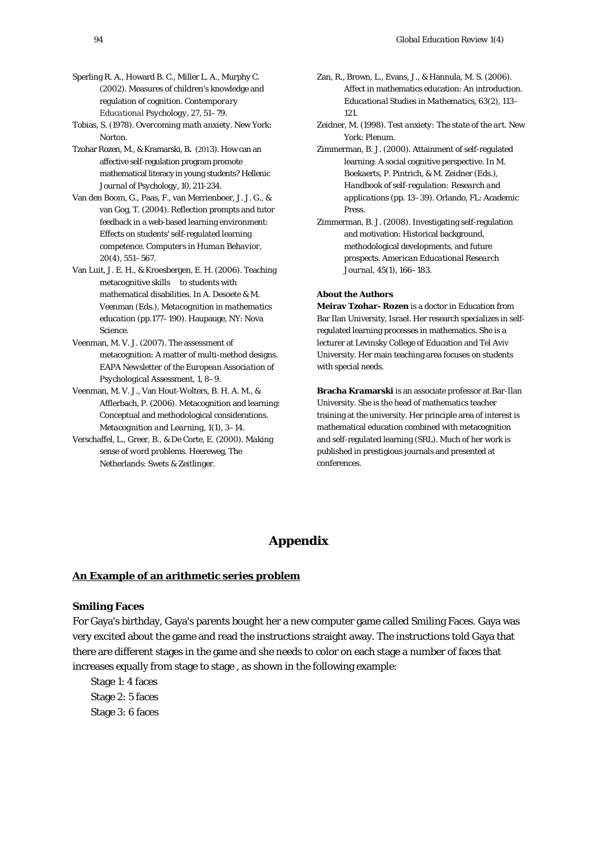- Sperling R. A., Howard B. C., Miller L. A., Murphy C. (2002). Measures of children's knowledge and regulation of cognition. *Contemporary Educational Psychology,* 27, 51–79.
- Tobias, S. (1978). *Overcoming math anxiety*. New York: Norton.
- Tzohar Rozen, M., & Kramarski, B. (2013). How can an affective self-regulation program promote mathematical literacy in young students? *Hellenic Journal of Psychology*, *10*, 211-234.
- Van den Boom, G., Paas, F., van Merrienboer, J. J. G., & van Gog, T. (2004). Reflection prompts and tutor feedback in a web-based learning environment: Effects on students' self-regulated learning competence. *Computers in Human Behavior, 20*(4), 551–567.
- Van Luit, J. E. H., & Kroesbergen, E. H. (2006). Teaching metacognitive skills to students with mathematical disabilities. In A. Desoete & M. Veenman (Eds.), *Metacognition in mathematics education* (pp.177–190). Haupauge, NY: Nova Science.
- Veenman, M. V. J. (2007). The assessment of metacognition: A matter of multi-method designs. *EAPA Newsletter of the European Association of Psychological Assessment, 1,* 8–9.
- Veenman, M. V. J., Van Hout-Wolters, B. H. A. M., & Afflerbach, P. (2006). Metacognition and learning: Conceptual and methodological considerations. *Metacognition and Learning, 1*(1), 3–14.
- Verschaffel, L., Greer, B., & De Corte, E. (2000). *Making sense of word problems.* Heereweg, The Netherlands: Swets & Zeitlinger.
- Zan, R., Brown, L., Evans, J., & Hannula, M. S. (2006). Affect in mathematics education: An introduction. *Educational Studies in Mathematics, 63*(2), 113– 121.
- Zeidner, M. (1998). *Test anxiety: The state of the art*. New York: Plenum.
- Zimmerman, B. J. (2000). Attainment of self-regulated learning: A social cognitive perspective. In M. Boekaerts, P. Pintrich, & M. Zeidner (Eds.), *Handbook of self-regulation: Research and applications* (pp. 13–39). Orlando, FL: Academic Press.
- Zimmerman, B. J. (2008). Investigating self-regulation and motivation: Historical background, methodological developments, and future prospects. *American Educational Research Journal, 45*(1), 166–183.

#### **About the Authors**

**Meirav Tzohar- Rozen** is a doctor in Education from Bar Ilan University, Israel. Her research specializes in selfregulated learning processes in mathematics. She is a lecturer at Levinsky College of Education and Tel Aviv University. Her main teaching area focuses on students with special needs.

**Bracha Kramarski** is an associate professor at Bar-Ilan University. She is the head of mathematics teacher training at the university. Her principle area of interest is mathematical education combined with metacognition and self-regulated learning (SRL). Much of her work is published in prestigious journals and presented at conferences.

# **Appendix**

### *<sup>U</sup>***An Example of an arithmetic series problem**

#### **Smiling Faces**

For Gaya's birthday, Gaya's parents bought her a new computer game called Smiling Faces. Gaya was very excited about the game and read the instructions straight away. The instructions told Gaya that there are different stages in the game and she needs to color on each stage a number of faces that increases equally from stage to stage , as shown in the following example:

Stage 1: 4 faces Stage 2: 5 faces Stage 3: 6 faces